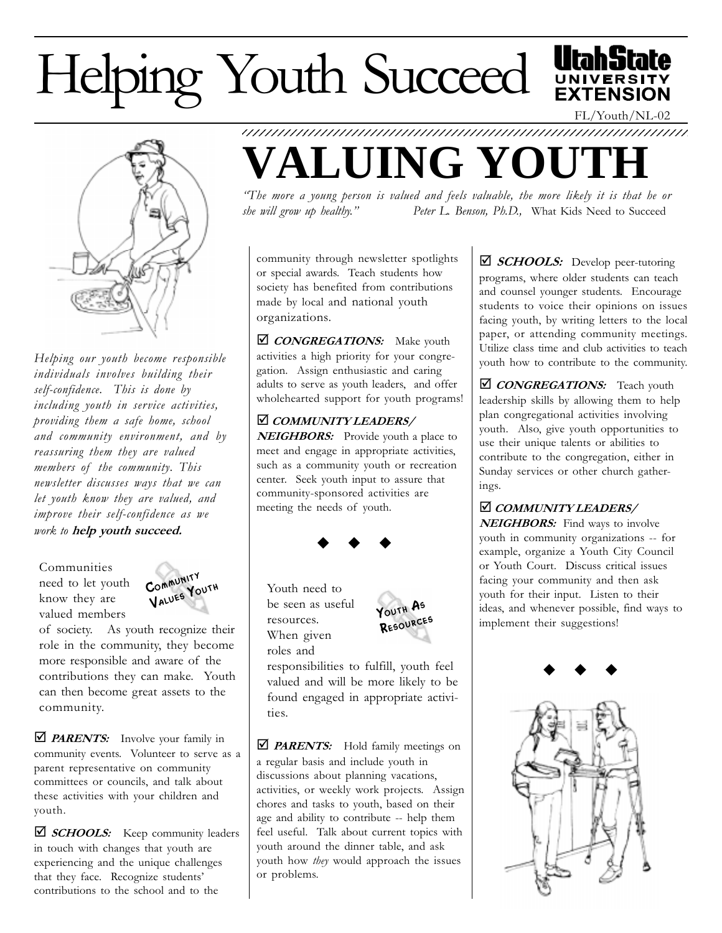## Helping Youth Succeed



Helping our youth become responsible individuals involves building their self-confidence. This is done by including youth in service activities, providing them a safe home, school and community environment, and by reassuring them they are valued members of the community. This newsletter discusses ways that we can let youth know they are valued, and improve their self-confidence as we work to help youth succeed.

Communities need to let youth know they are valued members



of society. As youth recognize their role in the community, they become more responsible and aware of the contributions they can make. Youth can then become great assets to the community.

 $\Box$  **PARENTS:** Involve your family in community events. Volunteer to serve as a parent representative on community committees or councils, and talk about these activities with your children and youth.

 $\Box$  **SCHOOLS:** Keep community leaders in touch with changes that youth are experiencing and the unique challenges that they face. Recognize students contributions to the school and to the



The more a young person is valued and feels valuable, the more likely it is that he or she will grow up healthy." Peter L. Benson, Ph.D., What Kids Need to Succeed

community through newsletter spotlights or special awards. Teach students how society has benefited from contributions made by local and national youth organizations.

**Ø** CONGREGATIONS: Make youth activities a high priority for your congregation. Assign enthusiastic and caring adults to serve as youth leaders, and offer wholehearted support for youth programs!

**Ø COMMUNITY LEADERS/ NEIGHBORS:** Provide youth a place to meet and engage in appropriate activities, such as a community youth or recreation center. Seek youth input to assure that community-sponsored activities are meeting the needs of youth.

## $\bullet$   $\bullet$   $\bullet$

Youth need to be seen as useful resources. When given roles and



responsibilities to fulfill, youth feel valued and will be more likely to be found engaged in appropriate activities.

 $\Box$  **PARENTS:** Hold family meetings on a regular basis and include youth in discussions about planning vacations, activities, or weekly work projects. Assign chores and tasks to youth, based on their age and ability to contribute -- help them feel useful. Talk about current topics with youth around the dinner table, and ask youth how *they* would approach the issues or problems.

 $\Box$  **SCHOOLS:** Develop peer-tutoring programs, where older students can teach and counsel younger students. Encourage students to voice their opinions on issues facing youth, by writing letters to the local paper, or attending community meetings. Utilize class time and club activities to teach youth how to contribute to the community.

*CONGREGATIONS:* Teach youth leadership skills by allowing them to help plan congregational activities involving youth. Also, give youth opportunities to use their unique talents or abilities to contribute to the congregation, either in Sunday services or other church gatherings.

*COMMUNITY LEADERS/* NEIGHBORS: Find ways to involve youth in community organizations -- for example, organize a Youth City Council or Youth Court. Discuss critical issues facing your community and then ask youth for their input. Listen to their ideas, and whenever possible, find ways to implement their suggestions!





FL/Youth/NL-02

**EXTENSION**